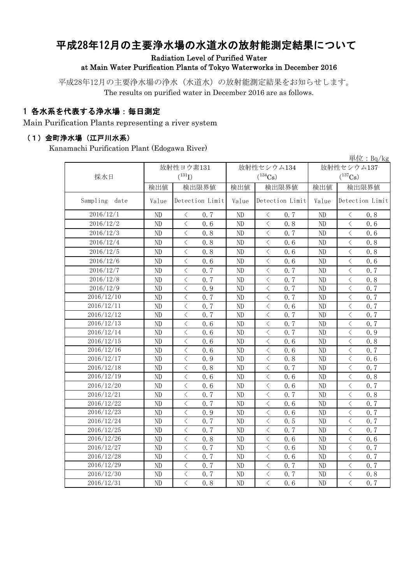# 平成28年12月の主要浄水場の水道水の放射能測定結果について

Radiation Level of Purified Water

#### at Main Water Purification Plants of Tokyo Waterworks in December 2016

平成28年12月の主要浄水場の浄水(水道水)の放射能測定結果をお知らせします。 The results on purified water in December 2016 are as follows.

### 1 各水系を代表する浄水場:毎日測定

Main Purification Plants representing a river system

#### (1)金町浄水場(江戸川水系)

Kanamachi Purification Plant (Edogawa River)

|                  |       |                                                  |              |                                                 |            | 単位: $Bq/kg$                                     |  |
|------------------|-------|--------------------------------------------------|--------------|-------------------------------------------------|------------|-------------------------------------------------|--|
|                  |       | 放射性ヨウ素131                                        |              | 放射性セシウム134                                      | 放射性セシウム137 |                                                 |  |
| 採水日              |       | $(^{131}I)$                                      |              | $(^{134}Cs)$                                    |            | $(^{137}\mathrm{Cs})$                           |  |
|                  | 検出値   | 検出限界値                                            | 検出限界値<br>検出値 |                                                 | 検出値        | 検出限界値                                           |  |
| Sampling<br>date | Value | Detection Limit                                  | Value        | Detection Limit                                 | Value      | Detection Limit                                 |  |
| 2016/12/1        | ND    | 0.7<br>⟨                                         | ND           | 0.7<br>$\langle$                                | ND         | 0.8<br>$\langle$                                |  |
| 2016/12/2        | ND    | $\langle$<br>0, 6                                | ND           | $\, < \,$<br>0.8                                | $\rm ND$   | $\langle$<br>0.6                                |  |
| 2016/12/3        | ND    | $\langle$<br>0.8                                 | ND           | $\langle$<br>0.7                                | $\rm ND$   | $\lt$<br>0.6                                    |  |
| 2016/12/4        | ND    | $\langle$<br>0.8                                 | ND           | $\lt$<br>0.6                                    | $\rm ND$   | $\lt$<br>0.8                                    |  |
| 2016/12/5        | ND    | $\langle$<br>0.8                                 | ND           | $\,$ $\,$ $\,$<br>0.6                           | ND         | $\langle$<br>0.8                                |  |
| 2016/12/6        | ND    | $\langle$<br>0, 6                                | ND           | $\langle$<br>0.6                                | ND         | $\langle$<br>0.6                                |  |
| 2016/12/7        | ND    | $\langle$<br>0.7                                 | ND           | $\overline{\left\langle \right\rangle }$<br>0.7 | ND         | $\overline{\left\langle \right\rangle }$<br>0.7 |  |
| 2016/12/8        | ND    | $\langle$<br>0.7                                 | ND           | $\overline{\left\langle \right\rangle }$<br>0.7 | ND         | $\lt$<br>0.8                                    |  |
| 2016/12/9        | ND    | $\lt$<br>0.9                                     | ND           | $\overline{\left\langle \right\rangle }$<br>0.7 | ND         | $\lt$<br>0.7                                    |  |
| 2016/12/10       | ND    | $\langle$<br>0.7                                 | ND           | $\overline{\langle}$<br>0.7                     | ND         | $\lt$<br>0.7                                    |  |
| 2016/12/11       | ND    | $\langle$<br>0.7                                 | ND           | $\overline{\langle}$<br>0.6                     | $\rm ND$   | $\langle$<br>0.7                                |  |
| 2016/12/12       | ND    | $\langle$<br>0, 7                                | ND           | $\langle$<br>0.7                                | $\rm ND$   | $\langle$<br>0.7                                |  |
| 2016/12/13       | ND    | $\langle$<br>0, 6                                | ND           | $\langle$<br>0.7                                | $\rm ND$   | $\langle$<br>0, 7                               |  |
| 2016/12/14       | ND    | $\langle$<br>0, 6                                | ND           | $\lt$<br>0.7                                    | $\rm ND$   | $\langle$<br>0.9                                |  |
| 2016/12/15       | ND    | $\overline{\left\langle \right\rangle }$<br>0, 6 | ND           | $\lt$<br>0.6                                    | $\rm ND$   | $\langle$<br>0.8                                |  |
| 2016/12/16       | ND    | $\lt$<br>0, 6                                    | ND           | $\langle$<br>0.6                                | $\rm ND$   | $\lt$<br>0.7                                    |  |
| 2016/12/17       | ND    | $\lt$<br>0.9                                     | ND           | $\langle$<br>0.8                                | $\rm ND$   | $\lt$<br>0.6                                    |  |
| 2016/12/18       | ND    | $\lt$<br>0.8                                     | ND           | $\lt$<br>0, 7                                   | $\rm ND$   | $\lt$<br>0.7                                    |  |
| 2016/12/19       | ND    | $\langle$<br>0, 6                                | ND           | $\lt$<br>0.6                                    | $\rm ND$   | $\lt$<br>0.8                                    |  |
| 2016/12/20       | ND    | $\langle$<br>0.6                                 | ND           | $\overline{\left\langle \right\rangle }$<br>0.6 | ND         | $\overline{\left\langle \right\rangle }$<br>0.7 |  |
| 2016/12/21       | ND    | $\langle$<br>0.7                                 | ND           | $\lt$<br>0.7                                    | ND         | $\lt$<br>0.8                                    |  |
| 2016/12/22       | ND    | $\langle$<br>0.7                                 | ND           | $\lt$<br>0.6                                    | ND         | $\lt$<br>0.7                                    |  |
| 2016/12/23       | ND    | $\langle$<br>0.9                                 | ND           | $\lt$<br>0.6                                    | ND         | $\lt$<br>0.7                                    |  |
| 2016/12/24       | ND    | $\lt$<br>0.7                                     | ND           | $\lt$<br>0.5                                    | $\rm ND$   | $\lt$<br>0.7                                    |  |
| 2016/12/25       | ND    | $\langle$<br>0.7                                 | ND           | $\lt$<br>0.7                                    | ND         | $\lt$<br>0.7                                    |  |
| 2016/12/26       | ND    | $\lt$<br>0.8                                     | ND           | $\langle$<br>0.6                                | ND         | $\langle$<br>0.6                                |  |
| 2016/12/27       | ND    | $\lt$<br>0, 7                                    | ND           | $\langle$<br>0.6                                | ND         | $\langle$<br>0.7                                |  |
| 2016/12/28       | ND    | $\lt$<br>0.7                                     | ND           | $\langle$<br>0.6                                | ND         | $\langle$<br>0.7                                |  |
| 2016/12/29       | ND    | $\lt$<br>0, 7                                    | ND           | $\langle$<br>0.7                                | ND         | $\lt$<br>0, 7                                   |  |
| 2016/12/30       | ND    | $\,$ $\,$ $\,$<br>0.7                            | ND           | $\langle$<br>0.7                                | ND         | $\lt$<br>0.8                                    |  |
| 2016/12/31       | ND    | $\langle$<br>0, 8                                | ND           | $\langle$<br>0, 6                               | ND         | $\langle$<br>0.7                                |  |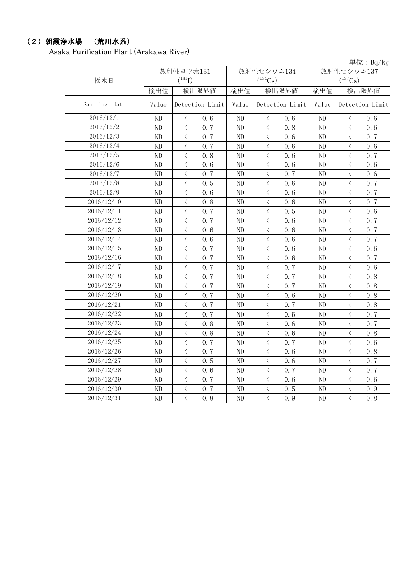### (2)朝霞浄水場 (荒川水系)

Asaka Purification Plant (Arakawa River)

|               |           |                                                 |       |                                                 |            | 単位: $Bq/kg$                                                                                                                                                                                                                                                                                                                                                                                                                                                                                                                                                                                                                                                                               |  |
|---------------|-----------|-------------------------------------------------|-------|-------------------------------------------------|------------|-------------------------------------------------------------------------------------------------------------------------------------------------------------------------------------------------------------------------------------------------------------------------------------------------------------------------------------------------------------------------------------------------------------------------------------------------------------------------------------------------------------------------------------------------------------------------------------------------------------------------------------------------------------------------------------------|--|
|               | 放射性ヨウ素131 |                                                 |       | 放射性セシウム134                                      | 放射性セシウム137 |                                                                                                                                                                                                                                                                                                                                                                                                                                                                                                                                                                                                                                                                                           |  |
| 採水日           |           | $(^{131}I)$                                     |       | $(^{134}Cs)$<br>検出限界値<br>検出値                    |            | $(^{137}Cs)$                                                                                                                                                                                                                                                                                                                                                                                                                                                                                                                                                                                                                                                                              |  |
|               | 検出値       | 検出限界値                                           |       |                                                 |            | 検出限界値<br>検出値                                                                                                                                                                                                                                                                                                                                                                                                                                                                                                                                                                                                                                                                              |  |
| Sampling date | Value     | Detection Limit                                 | Value | Detection Limit                                 | Value      | Detection Limit                                                                                                                                                                                                                                                                                                                                                                                                                                                                                                                                                                                                                                                                           |  |
| 2016/12/1     | ND        | $\langle$<br>0.6                                | ND    | $\langle$<br>0.6                                | ND         | $\langle$<br>0.6                                                                                                                                                                                                                                                                                                                                                                                                                                                                                                                                                                                                                                                                          |  |
| 2016/12/2     | ND        | $\langle$<br>0, 7                               | ND    | $\langle$<br>0.8                                | ND         | $\langle$<br>0, 6                                                                                                                                                                                                                                                                                                                                                                                                                                                                                                                                                                                                                                                                         |  |
| 2016/12/3     | ND        | $\langle$<br>0.7                                | ND    | $\lt$<br>0.6                                    | ND         | $\lt$<br>0.7                                                                                                                                                                                                                                                                                                                                                                                                                                                                                                                                                                                                                                                                              |  |
| 2016/12/4     | ND        | $\langle$<br>0.7                                | ND    | $\lt$<br>0.6                                    | ND         | $\lt$<br>0.6                                                                                                                                                                                                                                                                                                                                                                                                                                                                                                                                                                                                                                                                              |  |
| 2016/12/5     | ND        | $\lt$<br>0.8                                    | ND    | $\lt$<br>0.6                                    | ND         | $\lt$<br>0.7                                                                                                                                                                                                                                                                                                                                                                                                                                                                                                                                                                                                                                                                              |  |
| 2016/12/6     | ND        | $\lt$<br>0.6                                    | ND    | $\lt$<br>0.6                                    | ND         | $\langle$<br>0.6                                                                                                                                                                                                                                                                                                                                                                                                                                                                                                                                                                                                                                                                          |  |
| 2016/12/7     | ND        | $\lt$<br>0.7                                    | ND    | $\lt$<br>0.7                                    | ND         | $\lt$<br>0.6                                                                                                                                                                                                                                                                                                                                                                                                                                                                                                                                                                                                                                                                              |  |
| 2016/12/8     | ND        | $\, \zeta \,$<br>0.5                            | ND    | $\lt$<br>0.6                                    | ND         | $\langle$<br>0.7                                                                                                                                                                                                                                                                                                                                                                                                                                                                                                                                                                                                                                                                          |  |
| 2016/12/9     | ND        | $\langle$<br>0.6                                | ND    | $\lt$<br>0.6                                    | ND         | $\lt$<br>0.7                                                                                                                                                                                                                                                                                                                                                                                                                                                                                                                                                                                                                                                                              |  |
| 2016/12/10    | ND        | $\lt$<br>0.8                                    | ND    | $\lt$<br>0.6                                    | ND         | $\overline{\left\langle \right\rangle }$<br>0.7                                                                                                                                                                                                                                                                                                                                                                                                                                                                                                                                                                                                                                           |  |
| 2016/12/11    | ND        | $\lt$<br>0.7                                    | ND    | $\lt$<br>0.5                                    | ND         | $\lt$<br>0.6                                                                                                                                                                                                                                                                                                                                                                                                                                                                                                                                                                                                                                                                              |  |
| 2016/12/12    | ND        | $\lt$<br>0.7                                    | ND    | $\langle$<br>0.6                                | ND         | $\lt$<br>0.7                                                                                                                                                                                                                                                                                                                                                                                                                                                                                                                                                                                                                                                                              |  |
| 2016/12/13    | ND        | $\, \zeta \,$<br>0.6                            | ND    | $\langle$<br>0.6                                | ND         | $\lt$<br>0.7                                                                                                                                                                                                                                                                                                                                                                                                                                                                                                                                                                                                                                                                              |  |
| 2016/12/14    | ND        | $\langle$<br>0.6                                | ND    | $\lt$<br>0.6                                    | ND         | $\langle$<br>0.7                                                                                                                                                                                                                                                                                                                                                                                                                                                                                                                                                                                                                                                                          |  |
| 2016/12/15    | ND        | $\langle$<br>0.7                                | ND    | $\lt$<br>0.6                                    | ND         | $\lt$<br>0.6                                                                                                                                                                                                                                                                                                                                                                                                                                                                                                                                                                                                                                                                              |  |
| 2016/12/16    | ND        | $\lt$<br>0.7                                    | ND    | $\lt$<br>0.6                                    | ND         | $\lt$<br>0.7                                                                                                                                                                                                                                                                                                                                                                                                                                                                                                                                                                                                                                                                              |  |
| 2016/12/17    | ND        | $\, \zeta \,$<br>0.7                            | ND    | $\, \zeta \,$<br>0.7                            | ND         | $\lt$<br>0.6                                                                                                                                                                                                                                                                                                                                                                                                                                                                                                                                                                                                                                                                              |  |
| 2016/12/18    | ND        | $\langle$<br>0.7                                | ND    | $\lt$<br>0.7                                    | ND         | $\lt$<br>0.8                                                                                                                                                                                                                                                                                                                                                                                                                                                                                                                                                                                                                                                                              |  |
| 2016/12/19    | ND        | $\langle$<br>0.7                                | ND    | $\lt$<br>0.7                                    | ND         | $\langle$<br>0.8                                                                                                                                                                                                                                                                                                                                                                                                                                                                                                                                                                                                                                                                          |  |
| 2016/12/20    | ND        | $\lt$<br>0.7                                    | ND    | $\lt$<br>0.6                                    | ND         | $\lt$<br>0.8                                                                                                                                                                                                                                                                                                                                                                                                                                                                                                                                                                                                                                                                              |  |
| 2016/12/21    | ND        | $\langle$<br>0.7                                | ND    | $\lt$<br>0.7                                    | ND         | $\langle$<br>0.8                                                                                                                                                                                                                                                                                                                                                                                                                                                                                                                                                                                                                                                                          |  |
| 2016/12/22    | ND        | $\langle$<br>0.7                                | ND    | $\langle$<br>0.5                                | ND         | $\langle$<br>0.7                                                                                                                                                                                                                                                                                                                                                                                                                                                                                                                                                                                                                                                                          |  |
| 2016/12/23    | ND        | $\lt$<br>0.8                                    | ND    | $\langle$<br>0.6                                | ND         | $\langle$<br>0, 7                                                                                                                                                                                                                                                                                                                                                                                                                                                                                                                                                                                                                                                                         |  |
| 2016/12/24    | ND        | $\langle$<br>0.8                                | ND    | $\lt$<br>0.6                                    | ND         | $\overline{\left\langle \right\rangle }$<br>0.8                                                                                                                                                                                                                                                                                                                                                                                                                                                                                                                                                                                                                                           |  |
| 2016/12/25    | ND        | $\langle$<br>0.7                                | ND    | $\lt$<br>0.7                                    | ND         | $\lt$<br>0.6                                                                                                                                                                                                                                                                                                                                                                                                                                                                                                                                                                                                                                                                              |  |
| 2016/12/26    | ND        | $\overline{\left\langle \right\rangle }$<br>0.7 | ND    | $\lt$<br>0.6                                    | ND         | $\langle$<br>0.8                                                                                                                                                                                                                                                                                                                                                                                                                                                                                                                                                                                                                                                                          |  |
| 2016/12/27    | ND        | $\overline{\left\langle \right\rangle }$<br>0.5 | ND    | $\lt$<br>0, 6                                   | ND         | $\overline{\left\langle \right\rangle }$<br>0, 7                                                                                                                                                                                                                                                                                                                                                                                                                                                                                                                                                                                                                                          |  |
| 2016/12/28    | ND        | $\langle$<br>0.6                                | ND    | $\lt$<br>0.7                                    | ND         | $\overline{\left\langle \right\rangle }$<br>0, 7                                                                                                                                                                                                                                                                                                                                                                                                                                                                                                                                                                                                                                          |  |
| 2016/12/29    | ND        | $\lt$<br>0.7                                    | ND    | $\langle$<br>0.6                                | ND         | $\overline{\left\langle \right\rangle }$<br>0.6                                                                                                                                                                                                                                                                                                                                                                                                                                                                                                                                                                                                                                           |  |
| 2016/12/30    | ND        | $\langle$<br>0.7                                | ND    | $\lt$<br>0.5                                    | ND         | $\overline{\left\langle \right. }% ,\left\langle \overline{\left\langle \right. }% ,\left\langle \overline{\left\langle \right\rangle }\right\rangle \right.$<br>0.9                                                                                                                                                                                                                                                                                                                                                                                                                                                                                                                      |  |
| 2016/12/31    | ND        | $\overline{\left\langle \right\rangle }$<br>0.8 | ND    | $\overline{\left\langle \right\rangle }$<br>0.9 | ND         | $\overline{\left\langle \right. }% ,\left\langle \overline{\left\langle \right. }\right\rangle _{0}\right\langle \left. \overline{\left\langle \right. }\right\rangle _{0}\left\langle \overline{\left\langle \right. }\right\rangle _{0}\left\langle \overline{\left\langle \right. }\right\rangle _{0}\left\langle \overline{\left\langle \right. }\right\rangle _{0}\left\langle \overline{\left\langle \right. }\right\rangle _{0}\left\langle \overline{\left\langle \right. }\right\rangle _{0}\left\langle \overline{\left\langle \right. }\right\rangle _{0}\left\langle \overline{\left\langle \right. }\right\rangle _{0}\left\langle \overline{\left\langle \right. }\$<br>0.8 |  |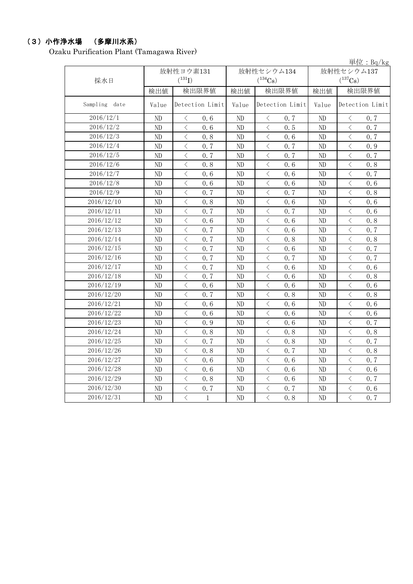## (3)小作浄水場 (多摩川水系)

Ozaku Purification Plant (Tamagawa River)

|               |           |                                                          |       |                                                 |            | 単位: $Bq/kg$                                      |  |
|---------------|-----------|----------------------------------------------------------|-------|-------------------------------------------------|------------|--------------------------------------------------|--|
|               | 放射性ヨウ素131 |                                                          |       | 放射性セシウム134                                      | 放射性セシウム137 |                                                  |  |
| 採水日           |           | $(^{131}I)$                                              |       | $(^{134}Cs)$                                    |            | $(^{137}Cs)$                                     |  |
|               | 検出値       | 検出限界値                                                    | 検出値   | 検出限界値                                           | 検出値        | 検出限界値                                            |  |
| Sampling date | Value     | Detection Limit                                          | Value | Detection Limit                                 | Value      | Detection Limit                                  |  |
| 2016/12/1     | ND        | $\lt$<br>0.6                                             | ND    | 0.7<br>$\langle$                                | ND         | $\langle$<br>0.7                                 |  |
| 2016/12/2     | ND        | $\langle$<br>0.6                                         | ND    | $\langle$<br>0.5                                | ND         | $\lt$<br>0.7                                     |  |
| 2016/12/3     | ND        | $\langle$<br>0.8                                         | ND    | $\lt$<br>0.6                                    | ND         | $\lt$<br>0.7                                     |  |
| 2016/12/4     | ND        | $\lt$<br>0.7                                             | ND    | $\lt$<br>0.7                                    | ND         | $\langle$<br>0.9                                 |  |
| 2016/12/5     | ND        | $\langle$<br>0.7                                         | ND    | $\lt$<br>0.7                                    | ND         | $\lt$<br>0.7                                     |  |
| 2016/12/6     | ND        | $\, \zeta \,$<br>0.8                                     | ND    | $\,<\,$<br>0.6                                  | ND         | $\lt$<br>0.8                                     |  |
| 2016/12/7     | ND        | $\langle$<br>0.6                                         | ND    | $\lt$<br>0.6                                    | ND         | $\lt$<br>0.7                                     |  |
| 2016/12/8     | ND        | $\lt$<br>0.6                                             | ND    | $\lt$<br>0.6                                    | ND         | $\lt$<br>0.6                                     |  |
| 2016/12/9     | ND        | $\lt$<br>0.7                                             | ND    | $\lt$<br>0.7                                    | ND         | $\lt$<br>0.8                                     |  |
| 2016/12/10    | ND        | $\lt$<br>0.8                                             | ND    | $\lt$<br>0.6                                    | ND         | $\langle$<br>0.6                                 |  |
| 2016/12/11    | ND        | $\langle$<br>0.7                                         | ND    | $\lt$<br>0.7                                    | ND         | $\lt$<br>0.6                                     |  |
| 2016/12/12    | ND        | $\lt$<br>0.6                                             | ND    | $\lt$<br>0.6                                    | ND         | $\lt$<br>0.8                                     |  |
| 2016/12/13    | ND        | $\langle$<br>0.7                                         | ND    | $\lt$<br>0.6                                    | ND         | $\langle$<br>0.7                                 |  |
| 2016/12/14    | ND        | $\overline{\left\langle \right\rangle }$<br>0, 7         | ND    | $\langle$<br>0.8                                | ND         | $\overline{\left\langle \right\rangle }$<br>0.8  |  |
| 2016/12/15    | ND        | $\overline{\left\langle \right\rangle }$<br>0.7          | ND    | $\lt$<br>0.6                                    | ND         | $\langle$<br>0.7                                 |  |
| 2016/12/16    | ND        | $\overline{\left\langle \right\rangle }$<br>0.7          | ND    | $\overline{\left\langle \right\rangle }$<br>0.7 | ND         | $\overline{\left\langle \right\rangle }$<br>0.7  |  |
| 2016/12/17    | ND        | $\overline{\left\langle \right\rangle }$<br>0, 7         | ND    | $\lt$<br>0.6                                    | ND         | $\overline{\left\langle \right\rangle }$<br>0, 6 |  |
| 2016/12/18    | ND        | $\overline{\left\langle \right\rangle }$<br>0.7          | ND    | $\langle$<br>0.6                                | ND         | $\overline{\left\langle \right\rangle }$<br>0.8  |  |
| 2016/12/19    | ND        | $\langle$<br>0.6                                         | ND    | $\lt$<br>0.6                                    | ND         | $\lt$<br>0.6                                     |  |
| 2016/12/20    | ND        | $\lt$<br>0.7                                             | ND    | $\langle$<br>0.8                                | ND         | $\lt$<br>0.8                                     |  |
| 2016/12/21    | ND        | $\langle$<br>0.6                                         | ND    | $\lt$<br>0.6                                    | ND         | $\lt$<br>0.6                                     |  |
| 2016/12/22    | ND        | $\lt$<br>0.6                                             | ND    | $\lt$<br>0.6                                    | ND         | $\lt$<br>0.6                                     |  |
| 2016/12/23    | ND        | $\, \zeta \,$<br>0.9                                     | ND    | $\langle$<br>0.6                                | ND         | $\langle$<br>0.7                                 |  |
| 2016/12/24    | ND        | $\langle$<br>0.8                                         | ND    | $\lt$<br>0.8                                    | ND         | $\lt$<br>0.8                                     |  |
| 2016/12/25    | ND        | $\lt$<br>0.7                                             | ND    | $\lt$<br>0.8                                    | ND         | $\lt$<br>0.7                                     |  |
| 2016/12/26    | ND        | $\lt$<br>0.8                                             | ND    | $\lt$<br>0.7                                    | ND         | $\lt$<br>0.8                                     |  |
| 2016/12/27    | ND        | $\langle$<br>0.6                                         | ND    | $\lt$<br>0.6                                    | ND         | $\overline{\left\langle \right\rangle }$<br>0.7  |  |
| 2016/12/28    | ND        | $\overline{\left\langle \right\rangle }$<br>0.6          | ND    | $\lt$<br>0.6                                    | ND         | $\overline{\left\langle \right\rangle }$<br>0.6  |  |
| 2016/12/29    | ND        | $\overline{\left\langle \right\rangle }$<br>0.8          | ND    | $\langle$<br>0.6                                | ND         | $\langle$<br>0.7                                 |  |
| 2016/12/30    | ND        | $\, <\,$<br>0.7                                          | ND    | $\lt$<br>0.7                                    | ND         | $\langle$<br>0.6                                 |  |
| 2016/12/31    | ND        | $\overline{\left\langle \right\rangle }$<br>$\mathbf{1}$ | ND    | $\overline{\left\langle \right\rangle }$<br>0.8 | ND         | $\overline{\left\langle \right\rangle }$<br>0.7  |  |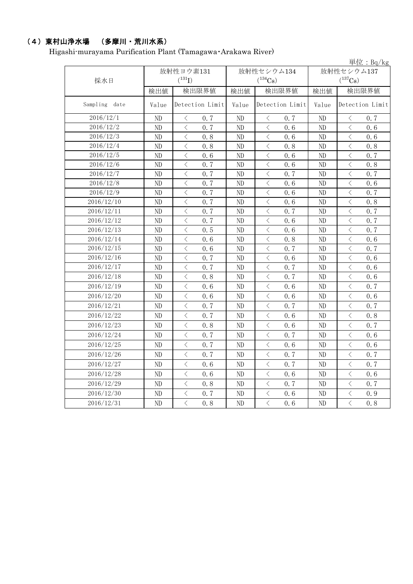# (4)東村山浄水場 (多摩川・荒川水系)

Higashi-murayama Purification Plant (Tamagawa・Arakawa River)

|               |                |                                                 |              |                                                 |                       | 単位: $Bq/kg$                                      |  |
|---------------|----------------|-------------------------------------------------|--------------|-------------------------------------------------|-----------------------|--------------------------------------------------|--|
|               |                | 放射性ヨウ素131                                       |              | 放射性セシウム134                                      | 放射性セシウム137            |                                                  |  |
| 採水日           |                | $(^{131}I)$                                     |              | $(^{134}Cs)$                                    | $(^{137}\mathrm{Cs})$ |                                                  |  |
|               | 検出値            | 検出限界値                                           | 検出値<br>検出限界値 |                                                 | 検出値<br>検出限界値          |                                                  |  |
| Sampling date | Value          | Detection Limit                                 | Value        | Detection Limit                                 | Value                 | Detection Limit                                  |  |
| 2016/12/1     | N <sub>D</sub> | $\lt$<br>0, 7                                   | ND           | $\langle$<br>0.7                                | ND                    | $\lt$<br>0.7                                     |  |
| 2016/12/2     | ND             | $\langle$<br>0, 7                               | ND           | $\langle$<br>0.6                                | ND                    | $\langle$<br>0, 6                                |  |
| 2016/12/3     | ND             | $\lt$<br>0.8                                    | ND           | $\lt$<br>0.6                                    | ND                    | $\langle$<br>0.6                                 |  |
| 2016/12/4     | ND             | $\lt$<br>0.8                                    | ND           | $\lt$<br>0.8                                    | ND                    | $\lt$<br>0.8                                     |  |
| 2016/12/5     | ND             | $\lt$<br>0.6                                    | ND           | $\lt$<br>0.6                                    | ND                    | $\lt$<br>0.7                                     |  |
| 2016/12/6     | ND             | $\langle$<br>0.7                                | ND           | $\lt$<br>0.6                                    | ND                    | $\langle$<br>0.8                                 |  |
| 2016/12/7     | ND             | $\overline{\left\langle \right\rangle }$<br>0.7 | ND           | $\lt$<br>0.7                                    | ND                    | $\overline{\left\langle \right\rangle }$<br>0.7  |  |
| 2016/12/8     | N <sub>D</sub> | $\langle$<br>0, 7                               | ND           | $\lt$<br>0.6                                    | ND                    | $\overline{\left\langle \right\rangle }$<br>0, 6 |  |
| 2016/12/9     | ND             | $\langle$<br>0, 7                               | ND           | $\lt$<br>0.6                                    | ND                    | $\langle$<br>0.7                                 |  |
| 2016/12/10    | ND             | $\lt$<br>0.7                                    | ND           | $\langle$<br>0.6                                | ND                    | $\lt$<br>0.8                                     |  |
| 2016/12/11    | ND             | $\lt$<br>0.7                                    | ND           | $\lt$<br>0.7                                    | ND                    | $\lt$<br>0.7                                     |  |
| 2016/12/12    | ND             | $\lt$<br>0.7                                    | ND           | $\lt$<br>0.6                                    | ND                    | $\lt$<br>0.7                                     |  |
| 2016/12/13    | ND             | $\langle$<br>0.5                                | ND           | $\lt$<br>0.6                                    | ND                    | $\langle$<br>0.7                                 |  |
| 2016/12/14    | ND             | $\overline{\left\langle \right\rangle }$<br>0.6 | ND           | $\lt$<br>0.8                                    | ND                    | $\langle$<br>0.6                                 |  |
| 2016/12/15    | N <sub>D</sub> | $\langle$<br>0, 6                               | ND           | $\lt$<br>0.7                                    | ND                    | $\overline{\left\langle \right\rangle }$<br>0.7  |  |
| 2016/12/16    | ND             | $\langle$<br>0, 7                               | ND           | $\lt$<br>0.6                                    | ND                    | $\langle$<br>0.6                                 |  |
| 2016/12/17    | ND             | $\lt$<br>0.7                                    | ND           | $\langle$<br>0.7                                | ND                    | $\lt$<br>0.6                                     |  |
| 2016/12/18    | ND             | $\lt$<br>0.8                                    | ND           | $\lt$<br>0.7                                    | ND                    | $\lt$<br>0.6                                     |  |
| 2016/12/19    | ND             | $\langle$<br>0.6                                | ND           | $\lt$<br>0, 6                                   | ND                    | $\overline{\left\langle \right\rangle }$<br>0.7  |  |
| 2016/12/20    | ND             | $\,$ $\,$ $\,$<br>0, 6                          | ND           | $\lt$<br>0.6                                    | ND                    | $\lt$<br>0.6                                     |  |
| 2016/12/21    | ND             | $\langle$<br>0, 7                               | ND           | $\lt$<br>0.7                                    | ND                    | $\langle$<br>0.7                                 |  |
| 2016/12/22    | ND             | $\langle$<br>0, 7                               | ND           | $\langle$<br>0, 6                               | ND                    | $\langle$<br>0.8                                 |  |
| 2016/12/23    | ND             | $\lt$<br>0.8                                    | ND           | $\langle$<br>0.6                                | ND                    | $\lt$<br>0.7                                     |  |
| 2016/12/24    | ND             | $\langle$<br>0, 7                               | ND           | $\langle$<br>0.7                                | ND                    | $\lt$<br>0.6                                     |  |
| 2016/12/25    | ND             | $\lt$<br>0, 7                                   | ND           | $\langle$<br>0.6                                | ND                    | $\lt$<br>0.6                                     |  |
| 2016/12/26    | ND             | 0, 7<br>$\langle$                               | ND           | 0.7<br>$\langle$                                | ND                    | $\lt$<br>0.7                                     |  |
| 2016/12/27    | ND             | $\langle$<br>0, 6                               | ND           | $\langle$<br>0.7                                | ND                    | $\langle$<br>0.7                                 |  |
| 2016/12/28    | ND             | $\langle$<br>0.6                                | ND           | $\lt$<br>0.6                                    | ND                    | $\langle$<br>0.6                                 |  |
| 2016/12/29    | ND             | $\langle$<br>0, 8                               | ND           | $\langle$<br>0, 7                               | ND                    | $\langle$<br>0.7                                 |  |
| 2016/12/30    | ND             | $\langle$<br>0.7                                | ND           | $\langle$<br>0.6                                | ND                    | $\langle$<br>0.9                                 |  |
| 2016/12/31    | ND             | $\langle$<br>0.8                                | ND           | $\overline{\left\langle \right\rangle }$<br>0.6 | ND                    | $\overline{\left\langle \right\rangle }$<br>0.8  |  |
|               |                |                                                 |              |                                                 |                       |                                                  |  |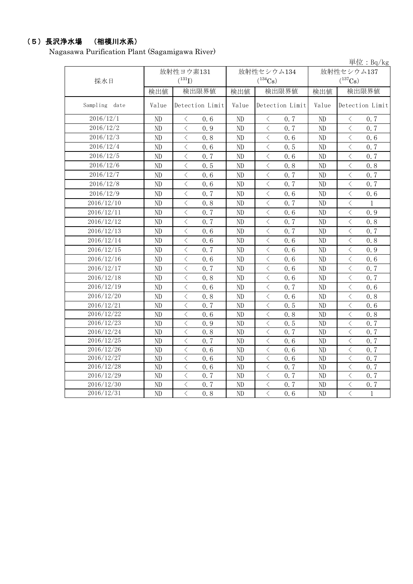# (5)長沢浄水場 (相模川水系)

Nagasawa Purification Plant (Sagamigawa River)

|               |          |                                                  |       |                                                 |            | 単位: $Bq/kg$                                              |  |
|---------------|----------|--------------------------------------------------|-------|-------------------------------------------------|------------|----------------------------------------------------------|--|
|               |          | 放射性ヨウ素131                                        |       | 放射性セシウム134                                      | 放射性セシウム137 |                                                          |  |
| 採水日           |          | $(^{131}I)$                                      |       | $(^{134}Cs)$                                    |            | $(^{137}\mathrm{Cs})$                                    |  |
|               | 検出値      | 検出限界値                                            | 検出値   | 検出限界値                                           | 検出値        | 検出限界値                                                    |  |
| Sampling date | Value    | Detection Limit                                  | Value | Detection Limit                                 | Value      | Detection Limit                                          |  |
| 2016/12/1     | ND       | 0, 6<br>$\lt$                                    | ND    | $\langle$<br>0.7                                | ND         | $\langle$<br>0.7                                         |  |
| 2016/12/2     | ND       | $\overline{\left\langle \right\rangle }$<br>0.9  | ND    | $\langle$<br>0.7                                | ND         | $\overline{\left\langle \right\rangle }$<br>0.7          |  |
| 2016/12/3     | ND       | $\langle$<br>0.8                                 | ND    | $\langle$<br>0.6                                | ND         | $\,$ $\,$ $\,$<br>0.6                                    |  |
| 2016/12/4     | ND       | $\overline{\left\langle \right\rangle }$<br>0.6  | ND    | $\overline{\left\langle \right\rangle }$<br>0.5 | ND         | $\overline{\left\langle \right\rangle }$<br>0.7          |  |
| 2016/12/5     | ND       | $\langle$<br>0, 7                                | ND    | $\langle$<br>0.6                                | ND         | $\lt$<br>0.7                                             |  |
| 2016/12/6     | ND       | $\langle$<br>0.5                                 | ND    | $\,$ $\,$ $\,$<br>0.8                           | ND         | $\overline{\left\langle \right\rangle }$<br>0.8          |  |
| 2016/12/7     | ND       | $\overline{\left\langle \right\rangle }$<br>0, 6 | ND    | $\overline{\left\langle \right\rangle }$<br>0.7 | ND         | $\langle$<br>0.7                                         |  |
| 2016/12/8     | ND       | $\langle$<br>0.6                                 | ND    | $\langle$<br>0.7                                | ND         | $\overline{\left\langle \right\rangle }$<br>0.7          |  |
| 2016/12/9     | ND       | $\lt$<br>0.7                                     | ND    | $\lt$<br>0.6                                    | ND         | $\lt$<br>0.6                                             |  |
| 2016/12/10    | ND       | $\langle$<br>0.8                                 | ND    | $\lt$<br>0, 7                                   | ND         | $\langle$<br>$\mathbf{1}$                                |  |
| 2016/12/11    | ND       | $\lt$<br>0.7                                     | ND    | $\,<\,$<br>0.6                                  | ND         | $\langle$<br>0.9                                         |  |
| 2016/12/12    | ND       | $\, <\,$<br>0.7                                  | ND    | $\, <\,$<br>0.7                                 | ND         | $\, \leq$<br>0.8                                         |  |
| 2016/12/13    | ND       | $\, <\,$<br>0.6                                  | ND    | $\, <\,$<br>0.7                                 | ND         | $\, <\,$<br>0.7                                          |  |
| 2016/12/14    | ND       | $\lt$<br>0.6                                     | ND    | $\lt$<br>0.6                                    | ND         | $\lt$<br>0.8                                             |  |
| 2016/12/15    | ND       | $\lt$<br>0, 7                                    | ND    | $\lt$<br>0.6                                    | $\rm ND$   | $\lt$<br>0.9                                             |  |
| 2016/12/16    | ND       | $\langle$<br>0.6                                 | ND    | $\lt$<br>0, 6                                   | ND         | $\overline{\left\langle \right\rangle }$<br>0.6          |  |
| 2016/12/17    | $\rm ND$ | $\langle$<br>0.7                                 | ND    | $\lt$<br>0.6                                    | ND         | $\lt$<br>0.7                                             |  |
| 2016/12/18    | ND       | $\lt$<br>0.8                                     | ND    | $\lt$<br>0.6                                    | ND         | $\langle$<br>0.7                                         |  |
| 2016/12/19    | ND       | $\langle$<br>0.6                                 | ND    | $\lt$<br>0.7                                    | ND         | $\langle$<br>0.6                                         |  |
| 2016/12/20    | ND       | $\overline{\left\langle \right\rangle }$<br>0.8  | ND    | $\lt$<br>0.6                                    | ND         | $\langle$<br>0.8                                         |  |
| 2016/12/21    | ND       | $\overline{\langle}$<br>0, 7                     | ND    | $\overline{\left\langle \right\rangle }$<br>0.5 | ND         | $\overline{\langle}$<br>0.6                              |  |
| 2016/12/22    | ND       | $\lt$<br>0.6                                     | ND    | $\lt$<br>0.8                                    | ND         | $\langle$<br>0.8                                         |  |
| 2016/12/23    | ND       | $\langle$<br>0.9                                 | ND    | $\,<\,$<br>0.5                                  | ND         | $\langle$<br>0.7                                         |  |
| 2016/12/24    | ND       | $\overline{\left\langle \right\rangle }$<br>0.8  | ND    | $\lt$<br>0.7                                    | ND         | $\lt$<br>0.7                                             |  |
| 2016/12/25    | ND       | $\langle$<br>0.7                                 | ND    | $\langle$<br>0.6                                | ND         | $\lt$<br>0.7                                             |  |
| 2016/12/26    | ND       | $\lt$<br>0.6                                     | ND    | $\lt$<br>0.6                                    | ND         | $\lt$<br>0.7                                             |  |
| 2016/12/27    | ND       | $\langle$<br>0, 6                                | ND    | $\langle$<br>0.6                                | ND         | $\langle$<br>0.7                                         |  |
| 2016/12/28    | ND       | $\overline{\left\langle \right\rangle }$<br>0.6  | ND    | $\langle$<br>0.7                                | ND         | $\langle$<br>0.7                                         |  |
| 2016/12/29    | ND       | $\langle$<br>0.7                                 | ND    | $\lt$<br>0.7                                    | ND         | $\langle$<br>0.7                                         |  |
| 2016/12/30    | ND       | $\,$ $\,$ $\,$<br>0.7                            | ND    | $\langle$<br>0.7                                | ND         | $\,$ $\,$ $\,$<br>0.7                                    |  |
| 2016/12/31    | ND       | $\overline{\left\langle \right\rangle }$<br>0.8  | ND    | $\overline{\left\langle \right\rangle }$<br>0.6 | ND         | $\overline{\left\langle \right\rangle }$<br>$\mathbf{1}$ |  |